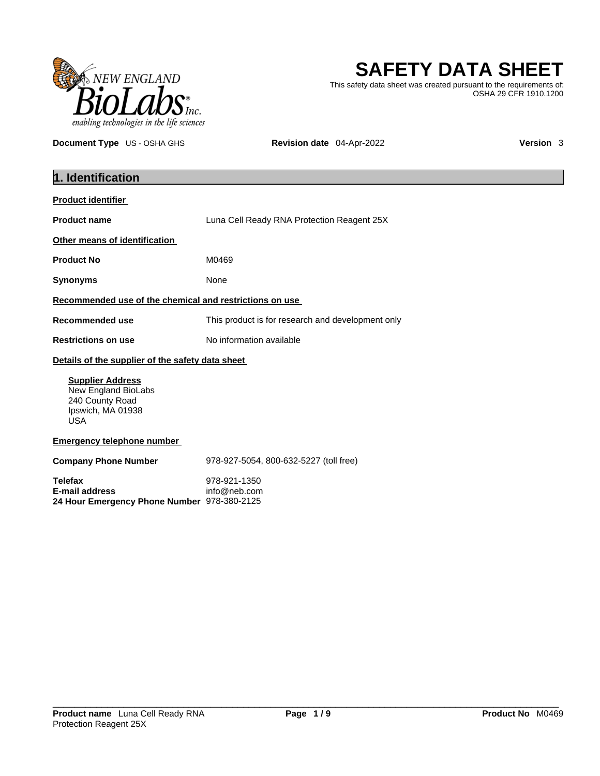

# **SAFETY DATA SHEET**

This safety data sheet was created pursuant to the requirements of: OSHA 29 CFR 1910.1200

**Document Type** US - OSHA GHS **Revision date** 04-Apr-2022 **Version 3** 

| 1. Identification                                                                                    |                                                   |
|------------------------------------------------------------------------------------------------------|---------------------------------------------------|
| <b>Product identifier</b>                                                                            |                                                   |
| <b>Product name</b>                                                                                  | Luna Cell Ready RNA Protection Reagent 25X        |
| Other means of identification                                                                        |                                                   |
| <b>Product No</b>                                                                                    | M0469                                             |
| <b>Synonyms</b>                                                                                      | None                                              |
| Recommended use of the chemical and restrictions on use                                              |                                                   |
| <b>Recommended use</b>                                                                               | This product is for research and development only |
| <b>Restrictions on use</b>                                                                           | No information available                          |
| Details of the supplier of the safety data sheet                                                     |                                                   |
| <b>Supplier Address</b><br>New England BioLabs<br>240 County Road<br>Ipswich, MA 01938<br><b>USA</b> |                                                   |
| <b>Emergency telephone number</b>                                                                    |                                                   |
| <b>Company Phone Number</b>                                                                          | 978-927-5054, 800-632-5227 (toll free)            |
| <b>Telefax</b><br><b>E-mail address</b><br>24 Hour Emergency Phone Number 978-380-2125               | 978-921-1350<br>info@neb.com                      |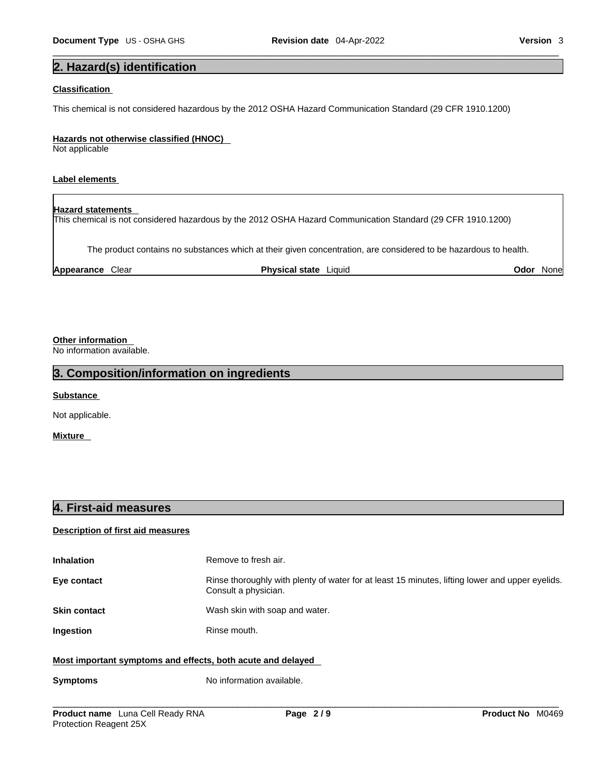# **2. Hazard(s) identification**

#### **Classification**

This chemical is not considered hazardous by the 2012 OSHA Hazard Communication Standard (29 CFR 1910.1200)

#### **Hazards not otherwise classified (HNOC)**

Not applicable

#### **Label elements**

**Hazard statements**  This chemical is not considered hazardous by the 2012 OSHA Hazard Communication Standard (29 CFR 1910.1200)

The product contains no substances which at their given concentration, are considered to be hazardous to health.

**Appearance** Clear **Physical state** Liquid **Odor** None

#### **Other information**

No information available.

#### **3. Composition/information on ingredients**

**Substance** 

Not applicable.

**Mixture** 

### **4. First-aid measures**

#### **Description of first aid measures**

| <b>Inhalation</b>                                           | Remove to fresh air.                                                                                                    |
|-------------------------------------------------------------|-------------------------------------------------------------------------------------------------------------------------|
| Eye contact                                                 | Rinse thoroughly with plenty of water for at least 15 minutes, lifting lower and upper eyelids.<br>Consult a physician. |
| <b>Skin contact</b>                                         | Wash skin with soap and water.                                                                                          |
| <b>Ingestion</b>                                            | Rinse mouth.                                                                                                            |
| Most important symptoms and effects, both acute and delayed |                                                                                                                         |

#### **Most important symptoms and effects, both acute and delayed**

#### **Symptoms** No information available.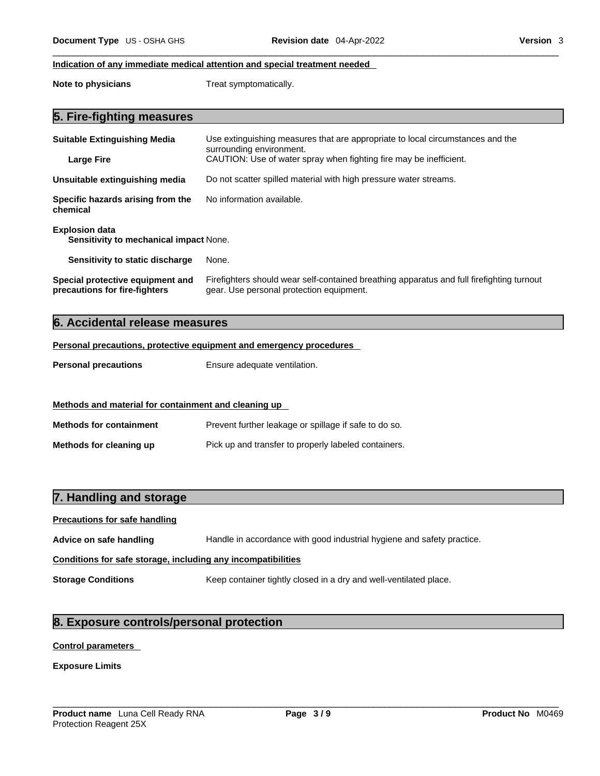#### **Indication of any immediate medical attention and special treatment needed**

**Note to physicians** Treat symptomatically.

|  | 5. Fire-fighting measures |  |
|--|---------------------------|--|
|--|---------------------------|--|

| <b>Suitable Extinguishing Media</b><br><b>Large Fire</b>          | Use extinguishing measures that are appropriate to local circumstances and the<br>surrounding environment.<br>CAUTION: Use of water spray when fighting fire may be inefficient. |
|-------------------------------------------------------------------|----------------------------------------------------------------------------------------------------------------------------------------------------------------------------------|
| Unsuitable extinguishing media                                    | Do not scatter spilled material with high pressure water streams.                                                                                                                |
| Specific hazards arising from the<br>chemical                     | No information available.                                                                                                                                                        |
| <b>Explosion data</b><br>Sensitivity to mechanical impact None.   |                                                                                                                                                                                  |
| Sensitivity to static discharge                                   | None.                                                                                                                                                                            |
| Special protective equipment and<br>precautions for fire-fighters | Firefighters should wear self-contained breathing apparatus and full firefighting turnout<br>gear. Use personal protection equipment.                                            |

# **6. Accidental release measures**

#### **Personal precautions, protective equipment and emergency procedures**

| <b>Personal precautions</b> | Ensure adequate ventilation. |
|-----------------------------|------------------------------|
|-----------------------------|------------------------------|

| Methods and material for containment and cleaning up |                                                       |
|------------------------------------------------------|-------------------------------------------------------|
| <b>Methods for containment</b>                       | Prevent further leakage or spillage if safe to do so. |
| Methods for cleaning up                              | Pick up and transfer to properly labeled containers.  |

# **7. Handling and storage**

| <b>Precautions for safe handling</b>                         |                                                                        |  |
|--------------------------------------------------------------|------------------------------------------------------------------------|--|
| Advice on safe handling                                      | Handle in accordance with good industrial hygiene and safety practice. |  |
| Conditions for safe storage, including any incompatibilities |                                                                        |  |
| <b>Storage Conditions</b>                                    | Keep container tightly closed in a dry and well-ventilated place.      |  |

# **8. Exposure controls/personal protection**

### **Control parameters**

**Exposure Limits**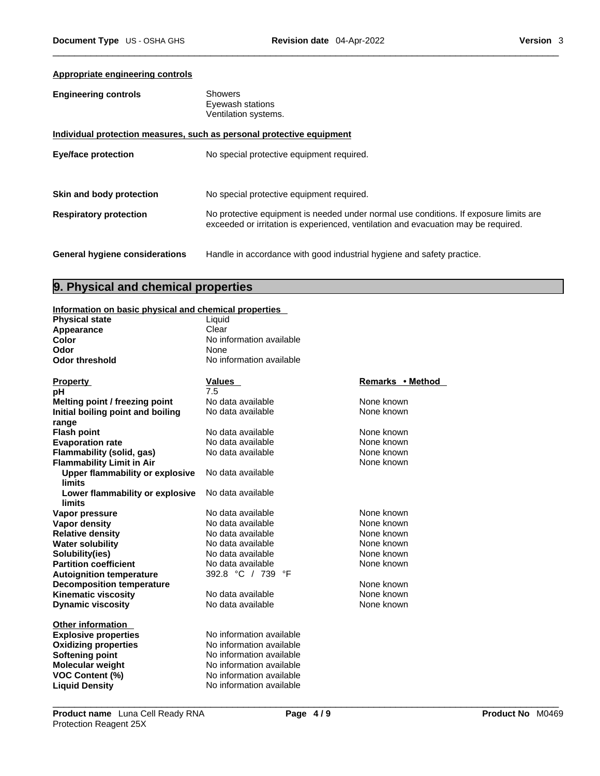#### **Appropriate engineering controls**

| <b>Engineering controls</b> | <b>Showers</b>       |
|-----------------------------|----------------------|
|                             | Eyewash stations     |
|                             | Ventilation systems. |
|                             |                      |

|                                       | Individual protection measures, such as personal protective equipment                                                                                                       |
|---------------------------------------|-----------------------------------------------------------------------------------------------------------------------------------------------------------------------------|
| Eye/face protection                   | No special protective equipment required.                                                                                                                                   |
| Skin and body protection              | No special protective equipment required.                                                                                                                                   |
| <b>Respiratory protection</b>         | No protective equipment is needed under normal use conditions. If exposure limits are<br>exceeded or irritation is experienced, ventilation and evacuation may be required. |
| <b>General hygiene considerations</b> | Handle in accordance with good industrial hygiene and safety practice.                                                                                                      |

# **9. Physical and chemical properties**

#### **Information on basic physical and chemical properties**

| $\mathbf{m}$ . The property of $\mathbf{r}$ and $\mathbf{r}$ and $\mathbf{r}$ . The properties |                          |                  |
|------------------------------------------------------------------------------------------------|--------------------------|------------------|
| <b>Physical state</b>                                                                          | Liquid                   |                  |
| Appearance                                                                                     | Clear                    |                  |
| Color                                                                                          | No information available |                  |
| Odor                                                                                           | None                     |                  |
| <b>Odor threshold</b>                                                                          | No information available |                  |
|                                                                                                |                          |                  |
| <b>Property</b>                                                                                | Values                   | Remarks • Method |
| pH                                                                                             | 7.5                      |                  |
| Melting point / freezing point                                                                 | No data available        | None known       |
| Initial boiling point and boiling                                                              | No data available        | None known       |
| range                                                                                          |                          |                  |
| <b>Flash point</b>                                                                             | No data available        | None known       |
| <b>Evaporation rate</b>                                                                        | No data available        | None known       |
| Flammability (solid, gas)                                                                      | No data available        | None known       |
| <b>Flammability Limit in Air</b>                                                               |                          | None known       |
| Upper flammability or explosive                                                                | No data available        |                  |
| <b>limits</b>                                                                                  |                          |                  |
| Lower flammability or explosive                                                                | No data available        |                  |
| <b>limits</b>                                                                                  |                          |                  |
| Vapor pressure                                                                                 | No data available        | None known       |
| Vapor density                                                                                  | No data available        | None known       |
| <b>Relative density</b>                                                                        | No data available        | None known       |
| <b>Water solubility</b>                                                                        | No data available        | None known       |
| Solubility(ies)                                                                                | No data available        | None known       |
| <b>Partition coefficient</b>                                                                   | No data available        | None known       |
| <b>Autoignition temperature</b>                                                                | 392.8 °C / 739<br>°F     |                  |
| <b>Decomposition temperature</b>                                                               |                          | None known       |
| <b>Kinematic viscosity</b>                                                                     | No data available        | None known       |
| <b>Dynamic viscosity</b>                                                                       | No data available        | None known       |
| <b>Other information</b>                                                                       |                          |                  |
| <b>Explosive properties</b>                                                                    | No information available |                  |
|                                                                                                | No information available |                  |
| <b>Oxidizing properties</b><br>Softening point                                                 | No information available |                  |
| Molecular weight                                                                               | No information available |                  |
| <b>VOC Content (%)</b>                                                                         | No information available |                  |
| <b>Liquid Density</b>                                                                          | No information available |                  |
|                                                                                                |                          |                  |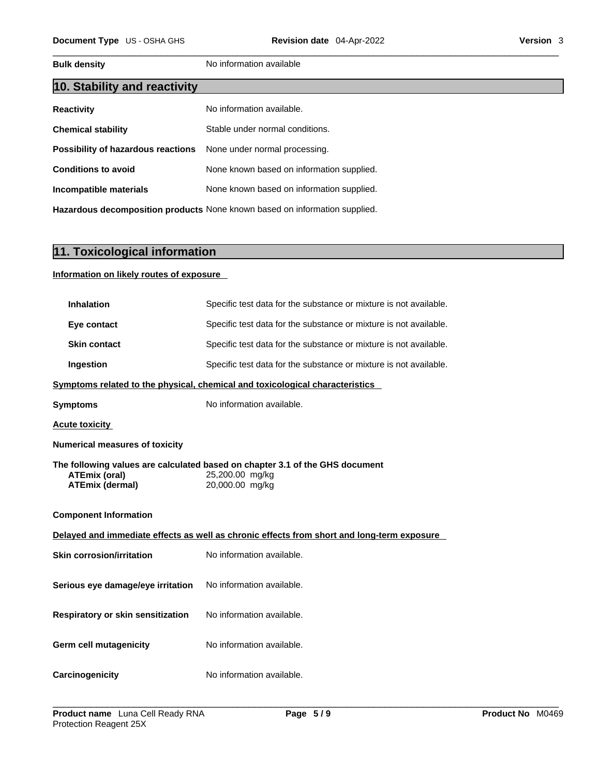**Bulk density No information available** 

| 10. Stability and reactivity       |                                           |
|------------------------------------|-------------------------------------------|
| <b>Reactivity</b>                  | No information available.                 |
| <b>Chemical stability</b>          | Stable under normal conditions.           |
| Possibility of hazardous reactions | None under normal processing.             |
| <b>Conditions to avoid</b>         | None known based on information supplied. |
| Incompatible materials             | None known based on information supplied. |
|                                    |                                           |

**Hazardous decomposition products** None known based on information supplied.

# **11. Toxicological information**

#### **Information on likely routes of exposure**

| <b>Inhalation</b>                              | Specific test data for the substance or mixture is not available.                                                  |
|------------------------------------------------|--------------------------------------------------------------------------------------------------------------------|
| Eye contact                                    | Specific test data for the substance or mixture is not available.                                                  |
| <b>Skin contact</b>                            | Specific test data for the substance or mixture is not available.                                                  |
| Ingestion                                      | Specific test data for the substance or mixture is not available.                                                  |
|                                                | Symptoms related to the physical, chemical and toxicological characteristics                                       |
| <b>Symptoms</b>                                | No information available.                                                                                          |
| <b>Acute toxicity</b>                          |                                                                                                                    |
| <b>Numerical measures of toxicity</b>          |                                                                                                                    |
| <b>ATEmix (oral)</b><br><b>ATEmix (dermal)</b> | The following values are calculated based on chapter 3.1 of the GHS document<br>25,200.00 mg/kg<br>20,000.00 mg/kg |
|                                                |                                                                                                                    |
| <b>Component Information</b>                   |                                                                                                                    |
|                                                | Delayed and immediate effects as well as chronic effects from short and long-term exposure                         |
| <b>Skin corrosion/irritation</b>               | No information available.                                                                                          |
| Serious eye damage/eye irritation              | No information available.                                                                                          |
| Respiratory or skin sensitization              | No information available.                                                                                          |
| <b>Germ cell mutagenicity</b>                  | No information available.                                                                                          |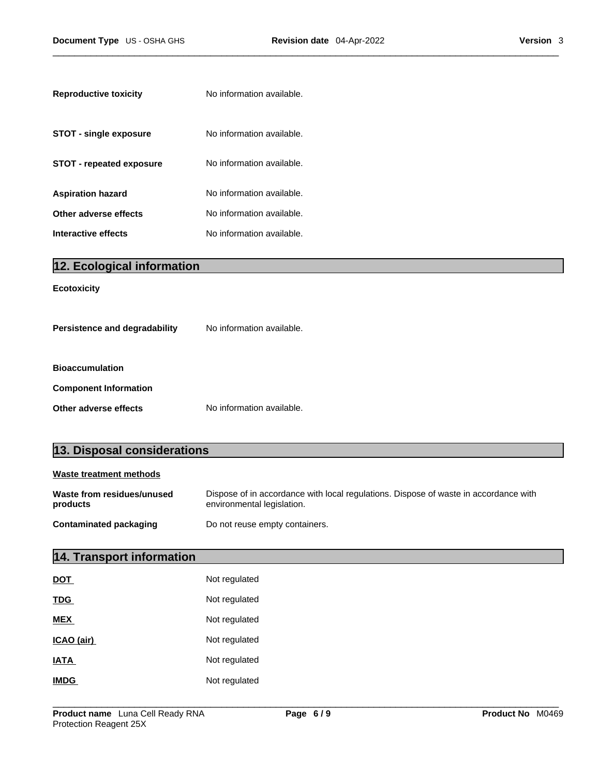| <b>Reproductive toxicity</b>  | No information available. |
|-------------------------------|---------------------------|
| <b>STOT - single exposure</b> | No information available. |
| STOT - repeated exposure      | No information available. |
| Aspiration hazard             | No information available. |
| Other adverse effects         | No information available. |
| Interactive effects           | No information available. |

| $  Z.$ Ecological Information |                           |
|-------------------------------|---------------------------|
| <b>Ecotoxicity</b>            |                           |
| Persistence and degradability | No information available. |
| <b>Bioaccumulation</b>        |                           |
| <b>Component Information</b>  |                           |
| Other adverse effects         | No information available. |

# **13. Disposal considerations**

**12. Ecological information** 

| Waste treatment methods                |                                                                                                                    |
|----------------------------------------|--------------------------------------------------------------------------------------------------------------------|
| Waste from residues/unused<br>products | Dispose of in accordance with local regulations. Dispose of waste in accordance with<br>environmental legislation. |
| <b>Contaminated packaging</b>          | Do not reuse empty containers.                                                                                     |

# **14. Transport information**

| <b>DOT</b>  | Not regulated |
|-------------|---------------|
| <b>TDG</b>  | Not regulated |
| <b>MEX</b>  | Not regulated |
| ICAO (air)  | Not regulated |
| <b>IATA</b> | Not regulated |
| <b>IMDG</b> | Not regulated |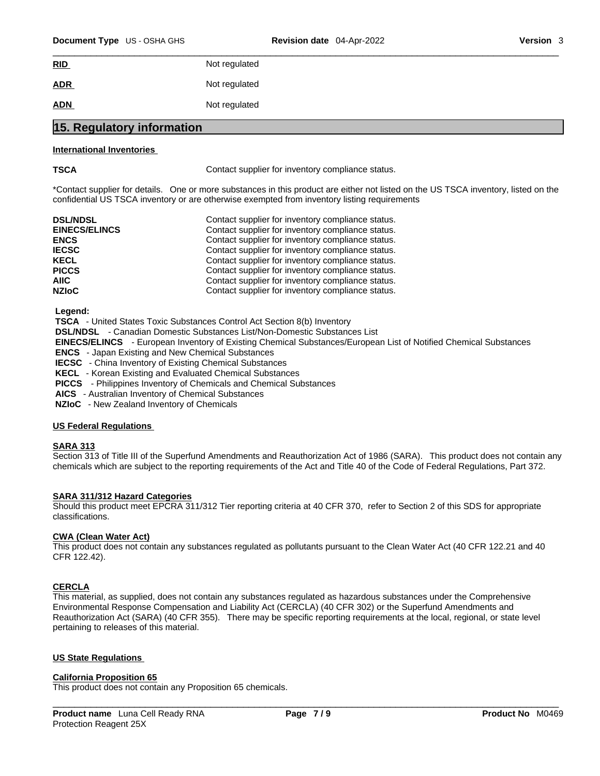| RID                        | Not regulated |
|----------------------------|---------------|
| <b>ADR</b>                 | Not regulated |
| <b>ADN</b>                 | Not regulated |
| 15. Regulatory information |               |

#### **International Inventories**

**TSCA Contact supplier for inventory compliance status.** 

\*Contact supplier for details. One or more substances in this product are either not listed on the US TSCA inventory, listed on the confidential US TSCA inventory or are otherwise exempted from inventory listing requirements

| <b>DSL/NDSL</b>      | Contact supplier for inventory compliance status. |
|----------------------|---------------------------------------------------|
| <b>EINECS/ELINCS</b> | Contact supplier for inventory compliance status. |
| <b>ENCS</b>          | Contact supplier for inventory compliance status. |
| <b>IECSC</b>         | Contact supplier for inventory compliance status. |
| <b>KECL</b>          | Contact supplier for inventory compliance status. |
| <b>PICCS</b>         | Contact supplier for inventory compliance status. |
| AIIC-                | Contact supplier for inventory compliance status. |
| <b>NZIoC</b>         | Contact supplier for inventory compliance status. |

 **Legend:** 

 **TSCA** - United States Toxic Substances Control Act Section 8(b) Inventory

 **DSL/NDSL** - Canadian Domestic Substances List/Non-Domestic Substances List

 **EINECS/ELINCS** - European Inventory of Existing Chemical Substances/European List of Notified Chemical Substances

 **ENCS** - Japan Existing and New Chemical Substances

 **IECSC** - China Inventory of Existing Chemical Substances

 **KECL** - Korean Existing and Evaluated Chemical Substances

 **PICCS** - Philippines Inventory of Chemicals and Chemical Substances

 **AICS** - Australian Inventory of Chemical Substances

 **NZIoC** - New Zealand Inventory of Chemicals

#### **US Federal Regulations**

#### **SARA 313**

Section 313 of Title III of the Superfund Amendments and Reauthorization Act of 1986 (SARA). This product does not contain any chemicals which are subject to the reporting requirements of the Act and Title 40 of the Code of Federal Regulations, Part 372.

#### **SARA 311/312 Hazard Categories**

Should this product meet EPCRA 311/312 Tier reporting criteria at 40 CFR 370, refer to Section 2 of this SDS for appropriate classifications.

#### **CWA (Clean WaterAct)**

This product does not contain any substances regulated as pollutants pursuant to the Clean Water Act (40 CFR 122.21 and 40 CFR 122.42).

#### **CERCLA**

This material, as supplied, does not contain any substances regulated as hazardous substances under the Comprehensive Environmental Response Compensation and Liability Act (CERCLA) (40 CFR 302) or the Superfund Amendments and Reauthorization Act (SARA) (40 CFR 355). There may be specific reporting requirements at the local, regional, or state level pertaining to releases of this material.

#### **US State Regulations**

#### **California Proposition 65**

This product does not contain any Proposition 65 chemicals.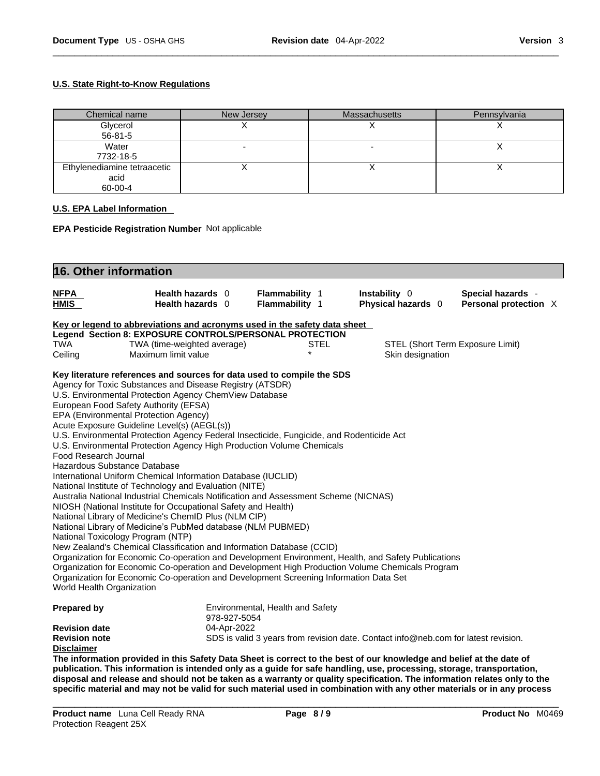#### **U.S. State Right-to-Know Regulations**

| Chemical name               | New Jersey | <b>Massachusetts</b> | Pennsylvania |
|-----------------------------|------------|----------------------|--------------|
| Glycerol                    |            |                      |              |
| 56-81-5                     |            |                      |              |
| Water                       |            |                      |              |
| 7732-18-5                   |            |                      |              |
| Ethylenediamine tetraacetic |            |                      |              |
| acid                        |            |                      |              |
| 60-00-4                     |            |                      |              |

#### **U.S. EPA Label Information**

**EPA Pesticide Registration Number** Not applicable

| 16. Other information                                                                    |                                      |                                  |                                                                                                     |                                            |
|------------------------------------------------------------------------------------------|--------------------------------------|----------------------------------|-----------------------------------------------------------------------------------------------------|--------------------------------------------|
| <b>NFPA</b><br>HMIS                                                                      | Health hazards 0<br>Health hazards 0 | Flammability 1<br>Flammability 1 | Instability 0<br>Physical hazards 0                                                                 | Special hazards -<br>Personal protection X |
| Key or legend to abbreviations and acronyms used in the safety data sheet                |                                      |                                  |                                                                                                     |                                            |
| Legend Section 8: EXPOSURE CONTROLS/PERSONAL PROTECTION                                  |                                      |                                  |                                                                                                     |                                            |
| TWA                                                                                      | TWA (time-weighted average)          | STEL                             | STEL (Short Term Exposure Limit)                                                                    |                                            |
| Ceiling                                                                                  | Maximum limit value                  | $\star$                          | Skin designation                                                                                    |                                            |
| Key literature references and sources for data used to compile the SDS                   |                                      |                                  |                                                                                                     |                                            |
| Agency for Toxic Substances and Disease Registry (ATSDR)                                 |                                      |                                  |                                                                                                     |                                            |
| U.S. Environmental Protection Agency ChemView Database                                   |                                      |                                  |                                                                                                     |                                            |
| European Food Safety Authority (EFSA)                                                    |                                      |                                  |                                                                                                     |                                            |
| EPA (Environmental Protection Agency)                                                    |                                      |                                  |                                                                                                     |                                            |
| Acute Exposure Guideline Level(s) (AEGL(s))                                              |                                      |                                  |                                                                                                     |                                            |
| U.S. Environmental Protection Agency Federal Insecticide, Fungicide, and Rodenticide Act |                                      |                                  |                                                                                                     |                                            |
| U.S. Environmental Protection Agency High Production Volume Chemicals                    |                                      |                                  |                                                                                                     |                                            |
| Food Research Journal<br>Hazardous Substance Database                                    |                                      |                                  |                                                                                                     |                                            |
| International Uniform Chemical Information Database (IUCLID)                             |                                      |                                  |                                                                                                     |                                            |
| National Institute of Technology and Evaluation (NITE)                                   |                                      |                                  |                                                                                                     |                                            |
| Australia National Industrial Chemicals Notification and Assessment Scheme (NICNAS)      |                                      |                                  |                                                                                                     |                                            |
| NIOSH (National Institute for Occupational Safety and Health)                            |                                      |                                  |                                                                                                     |                                            |
| National Library of Medicine's ChemID Plus (NLM CIP)                                     |                                      |                                  |                                                                                                     |                                            |
| National Library of Medicine's PubMed database (NLM PUBMED)                              |                                      |                                  |                                                                                                     |                                            |
| National Toxicology Program (NTP)                                                        |                                      |                                  |                                                                                                     |                                            |
| New Zealand's Chemical Classification and Information Database (CCID)                    |                                      |                                  |                                                                                                     |                                            |
|                                                                                          |                                      |                                  | Organization for Economic Co-operation and Development Environment, Health, and Safety Publications |                                            |
|                                                                                          |                                      |                                  | Organization for Economic Co-operation and Development High Production Volume Chemicals Program     |                                            |
| Organization for Economic Co-operation and Development Screening Information Data Set    |                                      |                                  |                                                                                                     |                                            |
| World Health Organization                                                                |                                      |                                  |                                                                                                     |                                            |
| <b>Prepared by</b>                                                                       |                                      | Environmental, Health and Safety |                                                                                                     |                                            |
|                                                                                          | 978-927-5054                         |                                  |                                                                                                     |                                            |
| <b>Revision date</b>                                                                     | 04-Apr-2022                          |                                  |                                                                                                     |                                            |
| <b>Revision note</b>                                                                     |                                      |                                  | SDS is valid 3 years from revision date. Contact info@neb.com for latest revision.                  |                                            |
| <b>Disclaimer</b>                                                                        |                                      |                                  |                                                                                                     |                                            |
|                                                                                          |                                      |                                  |                                                                                                     |                                            |

**publication. This information isintended only as a guide for safe handling, use, processing, storage, transportation,** disposal and release and should not be taken as a warranty or quality specification. The information relates only to the specific material and may not be valid for such material used in combination with any other materials or in any process